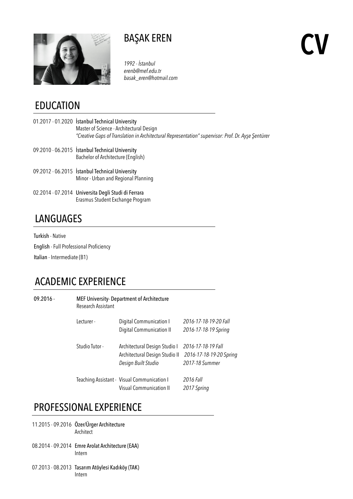

# BAŞAK EREN

*1992 - İstanbul erenb@mef.edu.tr basak\_eren@hotmail.com* **CV**

#### EDUCATION

- 01.2017 01.2020 İstanbul Technical University Master of Science - Architectural Design  *"Creative Gaps of Translation in Architectural Representation" supervisor: Prof. Dr. Ayşe Şentürer*
- 09.2010 06.2015 İstanbul Technical University Bachelor of Architecture (English)
- 09.2012 06.2015 İstanbul Technical University Minor - Urban and Regional Planning
- 02.2014 07.2014 Universita Degli Studi di Ferrara Erasmus Student Exchange Program

## **LANGUAGES**

Turkish - Native English - Full Professional Proficiency Italian - Intermediate (B1)

# ACADEMIC EXPERIENCE

| $09.2016 -$ | MEF University- Department of Architecture<br>Research Assistant |                                             |                         |  |
|-------------|------------------------------------------------------------------|---------------------------------------------|-------------------------|--|
|             | Lecturer -                                                       | Digital Communication I                     | 2016-17-18-19-20 Fall   |  |
|             |                                                                  | Digital Communication II                    | 2016-17-18-19 Spring    |  |
|             | Studio Tutor -                                                   | Architectural Design Studio I               | 2016-17-18-19 Fall      |  |
|             |                                                                  | Architectural Design Studio II              | 2016-17-18-19-20 Spring |  |
|             |                                                                  | Design Built Studio                         | 2017-18 Summer          |  |
|             |                                                                  | Teaching Assistant - Visual Communication I | 2016 Fall               |  |
|             |                                                                  | <b>Visual Communication II</b>              | 2017 Spring             |  |

#### PROFESSIONAL EXPERIENCE

- 11.2015 09.2016 Özer/Ürger Architecture Architect
- 08.2014 09.2014 Emre Arolat Architecture (EAA) Intern
- 07.2013 08.2013 Tasarım Atöylesi Kadıköy (TAK) Intern